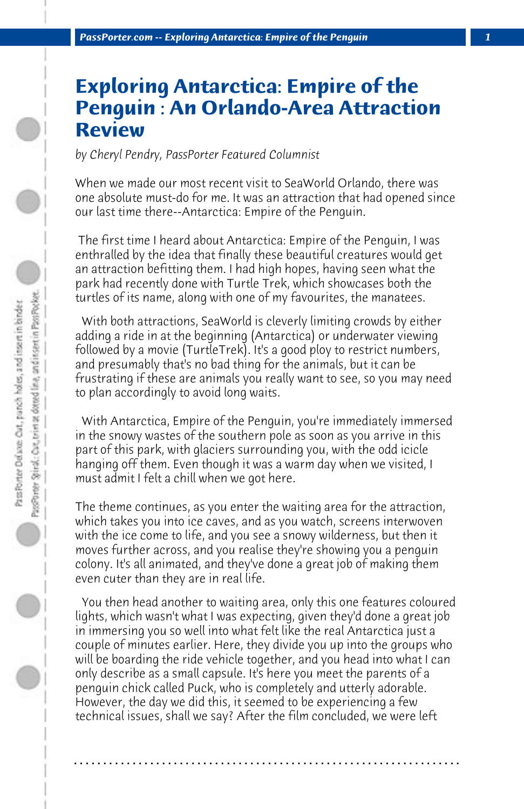## **Exploring Antarctica: Empire of the Penguin : An Orlando-Area Attraction Review**

*by Cheryl Pendry, PassPorter Featured Columnist*

When we made our most recent visit to SeaWorld Orlando, there was one absolute must-do for me. It was an attraction that had opened since our last time there--Antarctica: Empire of the Penguin.

 The first time I heard about Antarctica: Empire of the Penguin, I was enthralled by the idea that finally these beautiful creatures would get an attraction befitting them. I had high hopes, having seen what the park had recently done with Turtle Trek, which showcases both the turtles of its name, along with one of my favourites, the manatees.

 With both attractions, SeaWorld is cleverly limiting crowds by either adding a ride in at the beginning (Antarctica) or underwater viewing followed by a movie (TurtleTrek). It's a good ploy to restrict numbers, and presumably that's no bad thing for the animals, but it can be frustrating if these are animals you really want to see, so you may need to plan accordingly to avoid long waits.

 With Antarctica, Empire of the Penguin, you're immediately immersed in the snowy wastes of the southern pole as soon as you arrive in this part of this park, with glaciers surrounding you, with the odd icicle hanging off them. Even though it was a warm day when we visited, I must admit I felt a chill when we got here.

The theme continues, as you enter the waiting area for the attraction, which takes you into ice caves, and as you watch, screens interwoven with the ice come to life, and you see a snowy wilderness, but then it moves further across, and you realise they're showing you a penguin colony. It's all animated, and they've done a great job of making them even cuter than they are in real life.

 You then head another to waiting area, only this one features coloured lights, which wasn't what I was expecting, given they'd done a great job in immersing you so well into what felt like the real Antarctica just a couple of minutes earlier. Here, they divide you up into the groups who will be boarding the ride vehicle together, and you head into what I can only describe as a small capsule. It's here you meet the parents of a penguin chick called Puck, who is completely and utterly adorable. However, the day we did this, it seemed to be experiencing a few technical issues, shall we say? After the film concluded, we were left

**. . . . . . . . . . . . . . . . . . . . . . . . . . . . . . . . . . . . . . . . . . . . . . . . . . . . . . . . . . . . . . . . . .**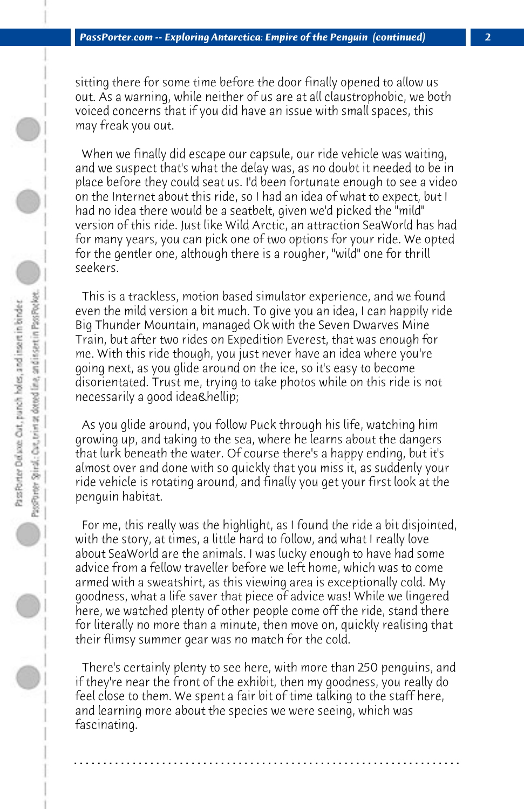sitting there for some time before the door finally opened to allow us out. As a warning, while neither of us are at all claustrophobic, we both voiced concerns that if you did have an issue with small spaces, this may freak you out.

 When we finally did escape our capsule, our ride vehicle was waiting, and we suspect that's what the delay was, as no doubt it needed to be in place before they could seat us. I'd been fortunate enough to see a video on the Internet about this ride, so I had an idea of what to expect, but I had no idea there would be a seatbelt, given we'd picked the "mild" version of this ride. Just like Wild Arctic, an attraction SeaWorld has had for many years, you can pick one of two options for your ride. We opted for the gentler one, although there is a rougher, "wild" one for thrill seekers.

 This is a trackless, motion based simulator experience, and we found even the mild version a bit much. To give you an idea, I can happily ride Big Thunder Mountain, managed Ok with the Seven Dwarves Mine Train, but after two rides on Expedition Everest, that was enough for me. With this ride though, you just never have an idea where you're going next, as you glide around on the ice, so it's easy to become disorientated. Trust me, trying to take photos while on this ride is not necessarily a good idea…

 As you glide around, you follow Puck through his life, watching him growing up, and taking to the sea, where he learns about the dangers that lurk beneath the water. Of course there's a happy ending, but it's almost over and done with so quickly that you miss it, as suddenly your ride vehicle is rotating around, and finally you get your first look at the penguin habitat.

 For me, this really was the highlight, as I found the ride a bit disjointed, with the story, at times, a little hard to follow, and what I really love about SeaWorld are the animals. I was lucky enough to have had some advice from a fellow traveller before we left home, which was to come armed with a sweatshirt, as this viewing area is exceptionally cold. My goodness, what a life saver that piece of advice was! While we lingered here, we watched plenty of other people come off the ride, stand there for literally no more than a minute, then move on, quickly realising that their flimsy summer gear was no match for the cold.

 There's certainly plenty to see here, with more than 250 penguins, and if they're near the front of the exhibit, then my goodness, you really do feel close to them. We spent a fair bit of time talking to the staff here, and learning more about the species we were seeing, which was fascinating.

**. . . . . . . . . . . . . . . . . . . . . . . . . . . . . . . . . . . . . . . . . . . . . . . . . . . . . . . . . . . . . . . . . .**